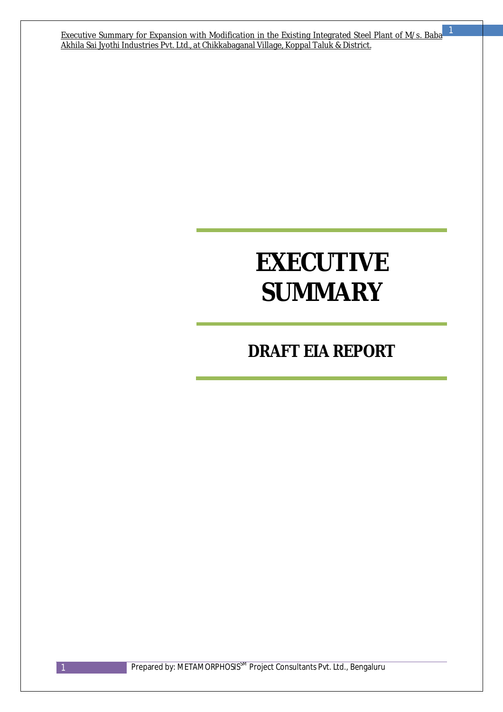Executive Summary for Expansion with Modification in the Existing Integrated Steel Plant of M/s. Baba Akhila Sai Jyothi Industries Pvt. Ltd., at Chikkabaganal Village, Koppal Taluk & District.

# **EXECUTIVE SUMMARY**

# *DRAFT EIA REPORT*

1 Prepared by: METAMORPHOSIS<sup>SM</sup> Project Consultants Pvt. Ltd., Bengaluru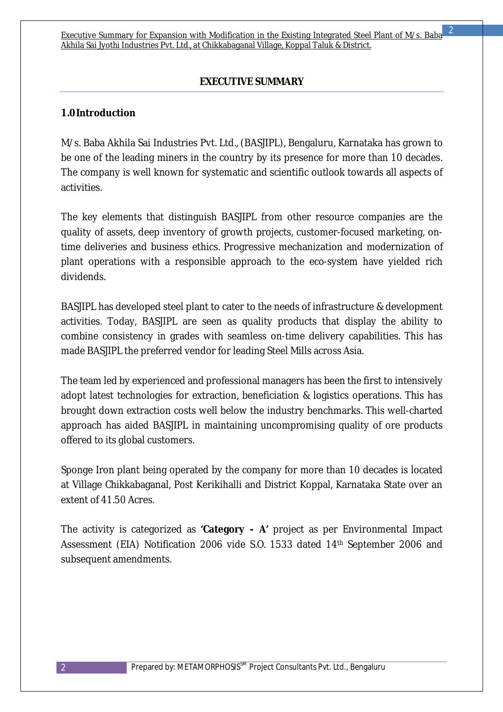# **EXECUTIVE SUMMARY**

#### **1.0Introduction**

M/s. Baba Akhila Sai Industries Pvt. Ltd., (BASJIPL), Bengaluru, Karnataka has grown to be one of the leading miners in the country by its presence for more than 10 decades. The company is well known for systematic and scientific outlook towards all aspects of activities.

The key elements that distinguish BASJIPL from other resource companies are the quality of assets, deep inventory of growth projects, customer-focused marketing, ontime deliveries and business ethics. Progressive mechanization and modernization of plant operations with a responsible approach to the eco-system have yielded rich dividends.

BASJIPL has developed steel plant to cater to the needs of infrastructure & development activities. Today, BASJIPL are seen as quality products that display the ability to combine consistency in grades with seamless on-time delivery capabilities. This has made BASJIPL the preferred vendor for leading Steel Mills across Asia.

The team led by experienced and professional managers has been the first to intensively adopt latest technologies for extraction, beneficiation & logistics operations. This has brought down extraction costs well below the industry benchmarks. This well-charted approach has aided BASJIPL in maintaining uncompromising quality of ore products offered to its global customers.

Sponge Iron plant being operated by the company for more than 10 decades is located at Village Chikkabaganal, Post Kerikihalli and District Koppal, Karnataka State over an extent of 41.50 Acres.

The activity is categorized as **'Category – A'** project as per Environmental Impact Assessment (EIA) Notification 2006 vide S.O. 1533 dated 14th September 2006 and subsequent amendments.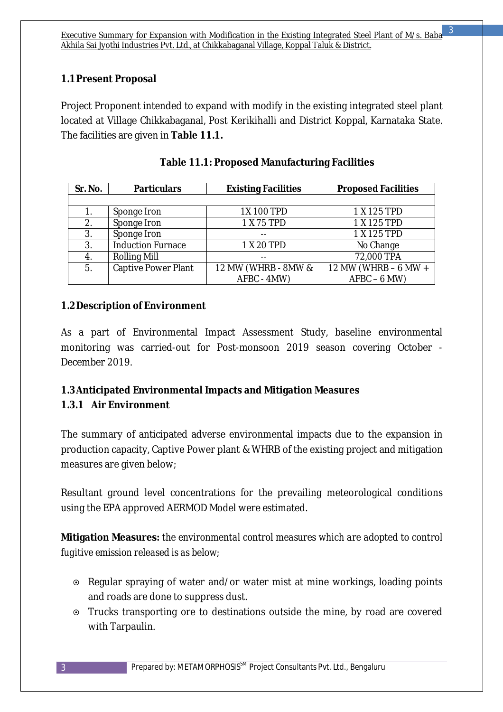# **1.1Present Proposal**

Project Proponent intended to expand with modify in the existing integrated steel plant located at Village Chikkabaganal, Post Kerikihalli and District Koppal, Karnataka State. The facilities are given in **Table 11.1.**

| Sr. No. | <b>Particulars</b>       | <b>Existing Facilities</b> | <b>Proposed Facilities</b> |
|---------|--------------------------|----------------------------|----------------------------|
|         |                          |                            |                            |
|         | Sponge Iron              | 1X 100 TPD                 | 1 X 125 TPD                |
| 2.      | Sponge Iron              | 1 X 75 TPD                 | 1 X 125 TPD                |
| 3.      | Sponge Iron              |                            | 1 X 125 TPD                |
| 3.      | <b>Induction Furnace</b> | 1 X 20 TPD                 | No Change                  |
| 4.      | <b>Rolling Mill</b>      |                            | 72,000 TPA                 |
| 5.      | Captive Power Plant      | 12 MW (WHRB - 8MW &        | 12 MW (WHRB - 6 MW +       |
|         |                          | AFBC - 4MW)                | $AFBC - 6 MW)$             |

|  | <b>Table 11.1: Proposed Manufacturing Facilities</b> |
|--|------------------------------------------------------|
|  |                                                      |

# **1.2Description of Environment**

As a part of Environmental Impact Assessment Study, baseline environmental monitoring was carried-out for Post-monsoon 2019 season covering October - December 2019.

# **1.3Anticipated Environmental Impacts and Mitigation Measures**

# **1.3.1 Air Environment**

The summary of anticipated adverse environmental impacts due to the expansion in production capacity, Captive Power plant & WHRB of the existing project and mitigation measures are given below;

Resultant ground level concentrations for the prevailing meteorological conditions using the EPA approved AERMOD Model were estimated.

**Mitigation Measures:** *the environmental control measures which are adopted to control fugitive emission released is as below;* 

- Regular spraying of water and/or water mist at mine workings, loading points and roads are done to suppress dust.
- Trucks transporting ore to destinations outside the mine, by road are covered with Tarpaulin.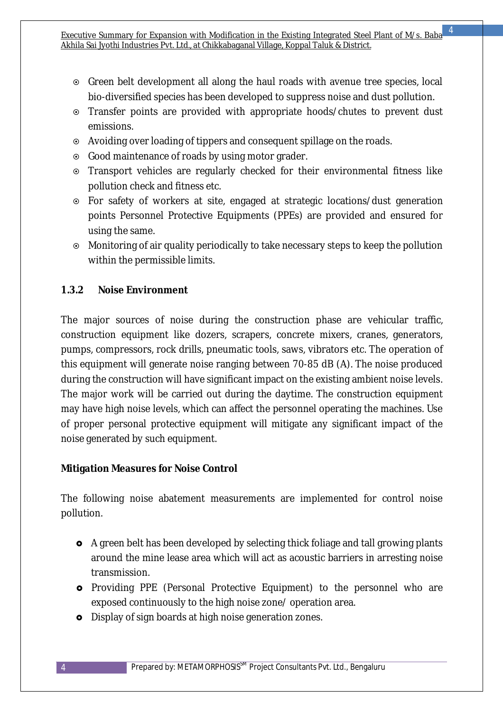- Green belt development all along the haul roads with avenue tree species, local bio-diversified species has been developed to suppress noise and dust pollution.
- Transfer points are provided with appropriate hoods/chutes to prevent dust emissions.
- Avoiding over loading of tippers and consequent spillage on the roads.
- Good maintenance of roads by using motor grader.
- Transport vehicles are regularly checked for their environmental fitness like pollution check and fitness etc.
- For safety of workers at site, engaged at strategic locations/dust generation points Personnel Protective Equipments (PPEs) are provided and ensured for using the same.
- Monitoring of air quality periodically to take necessary steps to keep the pollution within the permissible limits.

# **1.3.2 Noise Environment**

The major sources of noise during the construction phase are vehicular traffic, construction equipment like dozers, scrapers, concrete mixers, cranes, generators, pumps, compressors, rock drills, pneumatic tools, saws, vibrators etc. The operation of this equipment will generate noise ranging between 70-85 dB (A). The noise produced during the construction will have significant impact on the existing ambient noise levels. The major work will be carried out during the daytime. The construction equipment may have high noise levels, which can affect the personnel operating the machines. Use of proper personal protective equipment will mitigate any significant impact of the noise generated by such equipment.

# **Mitigation Measures for Noise Control**

The following noise abatement measurements are implemented for control noise pollution.

- A green belt has been developed by selecting thick foliage and tall growing plants around the mine lease area which will act as acoustic barriers in arresting noise transmission.
- **o** Providing PPE (Personal Protective Equipment) to the personnel who are exposed continuously to the high noise zone/ operation area.
- **o** Display of sign boards at high noise generation zones.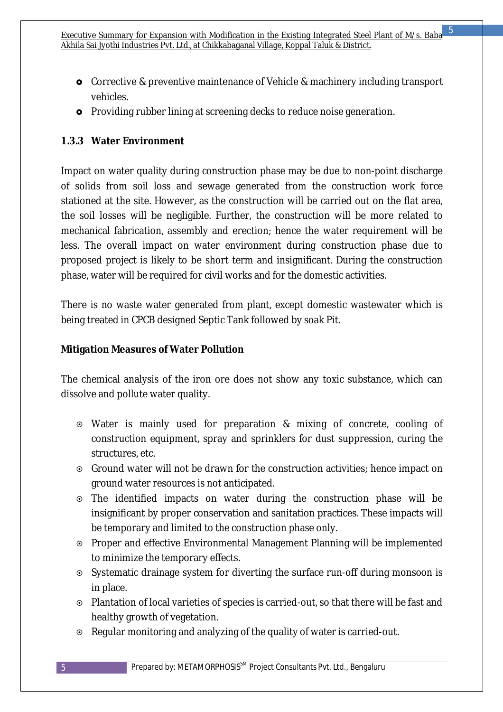- Corrective & preventive maintenance of Vehicle & machinery including transport vehicles.
- **o** Providing rubber lining at screening decks to reduce noise generation.

# **1.3.3 Water Environment**

Impact on water quality during construction phase may be due to non-point discharge of solids from soil loss and sewage generated from the construction work force stationed at the site. However, as the construction will be carried out on the flat area, the soil losses will be negligible. Further, the construction will be more related to mechanical fabrication, assembly and erection; hence the water requirement will be less. The overall impact on water environment during construction phase due to proposed project is likely to be short term and insignificant. During the construction phase, water will be required for civil works and for the domestic activities.

There is no waste water generated from plant, except domestic wastewater which is being treated in CPCB designed Septic Tank followed by soak Pit.

#### **Mitigation Measures of Water Pollution**

The chemical analysis of the iron ore does not show any toxic substance, which can dissolve and pollute water quality.

- Water is mainly used for preparation & mixing of concrete, cooling of construction equipment, spray and sprinklers for dust suppression, curing the structures, etc.
- Ground water will not be drawn for the construction activities; hence impact on ground water resources is not anticipated.
- The identified impacts on water during the construction phase will be insignificant by proper conservation and sanitation practices. These impacts will be temporary and limited to the construction phase only.
- Proper and effective Environmental Management Planning will be implemented to minimize the temporary effects.
- Systematic drainage system for diverting the surface run-off during monsoon is in place.
- Plantation of local varieties of species is carried-out, so that there will be fast and healthy growth of vegetation.
- Regular monitoring and analyzing of the quality of water is carried-out.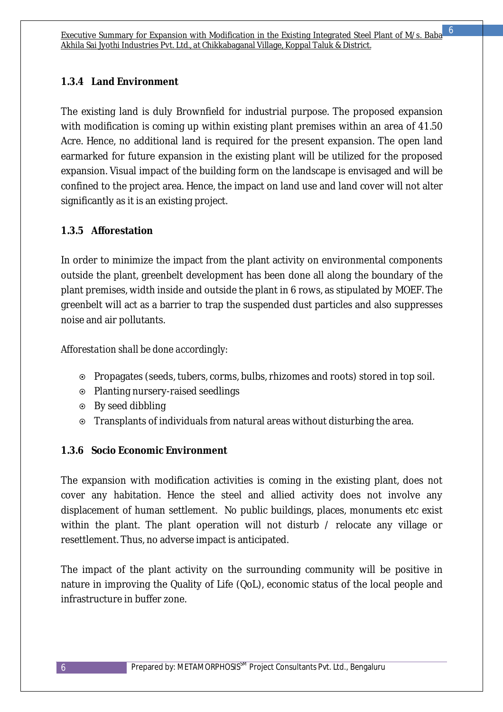# **1.3.4 Land Environment**

The existing land is duly Brownfield for industrial purpose. The proposed expansion with modification is coming up within existing plant premises within an area of 41.50 Acre. Hence, no additional land is required for the present expansion. The open land earmarked for future expansion in the existing plant will be utilized for the proposed expansion. Visual impact of the building form on the landscape is envisaged and will be confined to the project area. Hence, the impact on land use and land cover will not alter significantly as it is an existing project.

#### **1.3.5 Afforestation**

In order to minimize the impact from the plant activity on environmental components outside the plant, greenbelt development has been done all along the boundary of the plant premises, width inside and outside the plant in 6 rows, as stipulated by MOEF. The greenbelt will act as a barrier to trap the suspended dust particles and also suppresses noise and air pollutants.

#### *Afforestation shall be done accordingly:*

- Propagates (seeds, tubers, corms, bulbs, rhizomes and roots) stored in top soil.
- Planting nursery-raised seedlings
- By seed dibbling
- Transplants of individuals from natural areas without disturbing the area.

# **1.3.6 Socio Economic Environment**

The expansion with modification activities is coming in the existing plant, does not cover any habitation. Hence the steel and allied activity does not involve any displacement of human settlement. No public buildings, places, monuments etc exist within the plant. The plant operation will not disturb / relocate any village or resettlement. Thus, no adverse impact is anticipated.

The impact of the plant activity on the surrounding community will be positive in nature in improving the Quality of Life (QoL), economic status of the local people and infrastructure in buffer zone.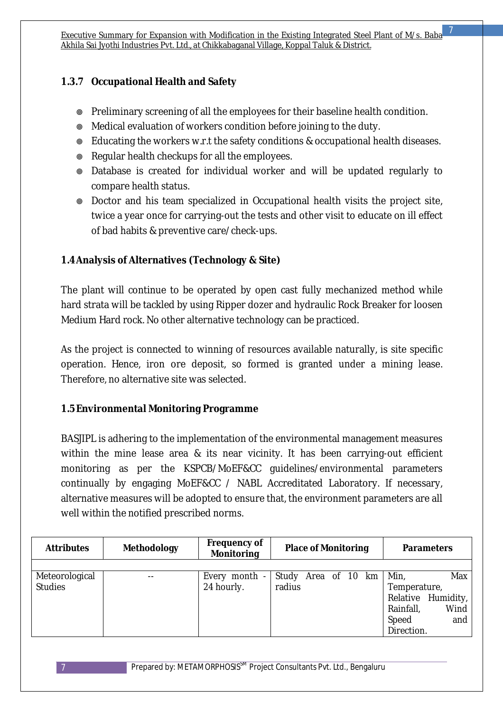# **1.3.7 Occupational Health and Safety**

- Preliminary screening of all the employees for their baseline health condition.
- Medical evaluation of workers condition before joining to the duty.
- Educating the workers w.r.t the safety conditions & occupational health diseases.
- Regular health checkups for all the employees.
- Database is created for individual worker and will be updated regularly to compare health status.
- Doctor and his team specialized in Occupational health visits the project site, twice a year once for carrying-out the tests and other visit to educate on ill effect of bad habits & preventive care/check-ups.

# **1.4Analysis of Alternatives (Technology & Site)**

The plant will continue to be operated by open cast fully mechanized method while hard strata will be tackled by using Ripper dozer and hydraulic Rock Breaker for loosen Medium Hard rock. No other alternative technology can be practiced.

As the project is connected to winning of resources available naturally, is site specific operation. Hence, iron ore deposit, so formed is granted under a mining lease. Therefore, no alternative site was selected.

# **1.5Environmental Monitoring Programme**

BASJIPL is adhering to the implementation of the environmental management measures within the mine lease area & its near vicinity. It has been carrying-out efficient monitoring as per the KSPCB/MoEF&CC guidelines/environmental parameters continually by engaging MoEF&CC / NABL Accreditated Laboratory. If necessary, alternative measures will be adopted to ensure that, the environment parameters are all well within the notified prescribed norms.

| <b>Attributes</b> | <b>Methodology</b> | <b>Frequency of</b><br><b>Monitoring</b> | <b>Place of Monitoring</b> |  |              | <b>Parameters</b>  |
|-------------------|--------------------|------------------------------------------|----------------------------|--|--------------|--------------------|
|                   |                    |                                          |                            |  |              |                    |
| Meteorological    | $- -$              | Every month -                            | Study Area of 10 km        |  | Min,         | Max                |
| <b>Studies</b>    |                    | 24 hourly.                               | radius                     |  | Temperature, |                    |
|                   |                    |                                          |                            |  |              | Relative Humidity, |
|                   |                    |                                          |                            |  | Rainfall,    | Wind               |
|                   |                    |                                          |                            |  | Speed        | and                |
|                   |                    |                                          |                            |  | Direction.   |                    |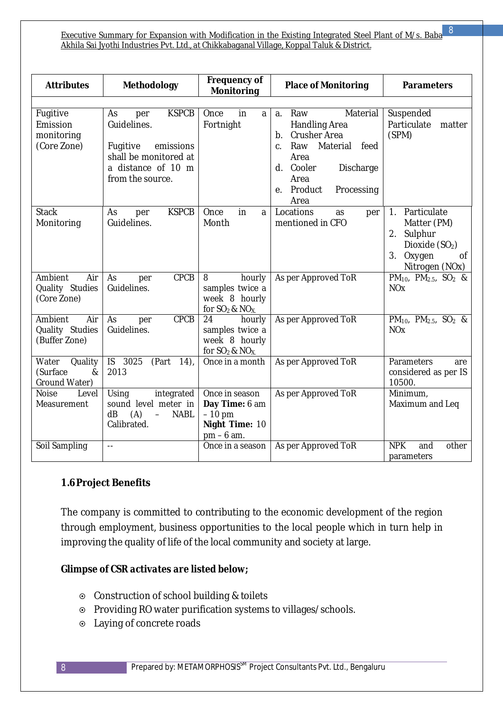Executive Summary for Expansion with Modification in the Existing Integrated Steel Plant of M/s. Baba Akhila Sai Jyothi Industries Pvt. Ltd., at Chikkabaganal Village, Koppal Taluk & District.

| <b>Attributes</b>                                     | Methodology                                                                                                                          | <b>Frequency of</b><br><b>Place of Monitoring</b><br><b>Monitoring</b>         |                                                                                                                                                                                                   | <b>Parameters</b>                                                                                                                               |
|-------------------------------------------------------|--------------------------------------------------------------------------------------------------------------------------------------|--------------------------------------------------------------------------------|---------------------------------------------------------------------------------------------------------------------------------------------------------------------------------------------------|-------------------------------------------------------------------------------------------------------------------------------------------------|
| Fugitive<br>Emission<br>monitoring<br>(Core Zone)     | <b>KSPCB</b><br>As<br>per<br>Guidelines.<br>emissions<br>Fugitive<br>shall be monitored at<br>a distance of 10 m<br>from the source. | in<br>Once<br>a<br>Fortnight                                                   | Material<br>Raw<br>$a_{\cdot}$<br><b>Handling Area</b><br>Crusher Area<br>b.<br>Raw<br>Material<br>feed<br>C.<br>Area<br>Cooler<br>Discharge<br>d.<br>Area<br>Processing<br>Product<br>e.<br>Area | Suspended<br>Particulate<br>matter<br>(SPM)                                                                                                     |
| <b>Stack</b><br>Monitoring                            | <b>KSPCB</b><br>As<br>per<br>Guidelines.                                                                                             | Once<br>in<br>a<br>Month                                                       | Locations<br>per<br>as<br>mentioned in CFO                                                                                                                                                        | Particulate<br>1 <sub>1</sub><br>Matter (PM)<br>Sulphur<br>2.<br>Dioxide (SO <sub>2</sub> )<br>3 <sub>1</sub><br>Oxygen<br>Οf<br>Nitrogen (NOx) |
| Ambient<br>Air<br>Quality Studies<br>(Core Zone)      | CPCB<br>As<br>per<br>Guidelines.                                                                                                     | 8<br>hourly<br>samples twice a<br>week 8 hourly<br>for $SO_2$ & $NO_X$         | As per Approved ToR                                                                                                                                                                               | PM <sub>10</sub> , PM <sub>2.5</sub> , SO <sub>2</sub> &<br><b>NO<sub>x</sub></b>                                                               |
| Ambient<br>Air<br>Quality Studies<br>(Buffer Zone)    | CPCB<br>As<br>per<br>Guidelines.                                                                                                     | 24<br>hourly<br>samples twice a<br>week 8 hourly<br>for $SO_2$ & $NO_X$ .      | As per Approved ToR                                                                                                                                                                               | PM <sub>10</sub> , PM <sub>2.5</sub> , SO <sub>2</sub> &<br><b>NO<sub>x</sub></b>                                                               |
| Water<br>Quality<br>(Surface<br>$\&$<br>Ground Water) | $\overline{S}$<br>3025<br>(Part<br>(14)<br>2013                                                                                      | Once in a month                                                                | As per Approved ToR                                                                                                                                                                               | Parameters<br>are<br>considered as per IS<br>10500.                                                                                             |
| <b>Noise</b><br>Level<br>Measurement                  | Using<br>integrated<br>sound level meter in<br>(A)<br>dB<br><b>NABL</b><br>$\equiv$<br>Calibrated.                                   | Once in season<br>Day Time: 6 am<br>$-10$ pm<br>Night Time: 10<br>$pm - 6$ am. | As per Approved ToR                                                                                                                                                                               | Minimum,<br>Maximum and Leq                                                                                                                     |
| Soil Sampling                                         | $=$ $-$                                                                                                                              | Once in a season                                                               | As per Approved ToR                                                                                                                                                                               | <b>NPK</b><br>other<br>and<br>parameters                                                                                                        |

#### **1.6Project Benefits**

The company is committed to contributing to the economic development of the region through employment, business opportunities to the local people which in turn help in improving the quality of life of the local community and society at large.

#### *Glimpse of CSR activates are listed below;*

- Construction of school building & toilets
- Providing RO water purification systems to villages/schools.
- Laying of concrete roads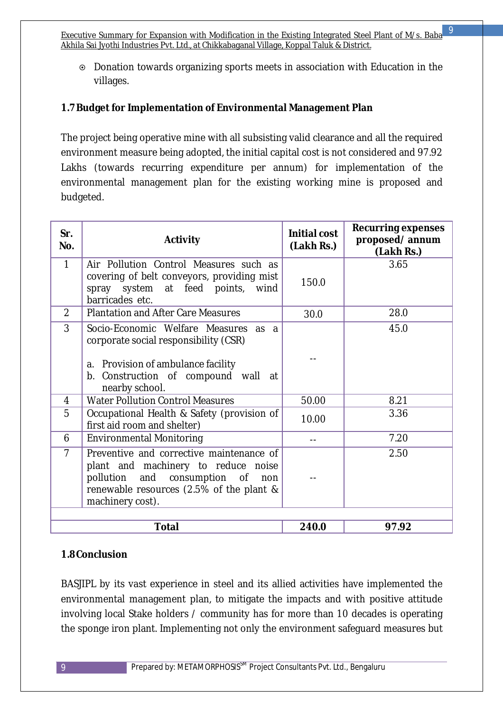Executive Summary for Expansion with Modification in the Existing Integrated Steel Plant of M/s. Baba Akhila Sai Jyothi Industries Pvt. Ltd., at Chikkabaganal Village, Koppal Taluk & District. 9

 Donation towards organizing sports meets in association with Education in the villages.

#### **1.7Budget for Implementation of Environmental Management Plan**

The project being operative mine with all subsisting valid clearance and all the required environment measure being adopted, the initial capital cost is not considered and 97.92 Lakhs (towards recurring expenditure per annum) for implementation of the environmental management plan for the existing working mine is proposed and budgeted.

| Sr.<br>No.     | <b>Activity</b>                                                                                                                                                                        | <b>Initial cost</b><br>(Lakh Rs.) | <b>Recurring expenses</b><br>proposed/annum<br>(Lakh Rs.) |
|----------------|----------------------------------------------------------------------------------------------------------------------------------------------------------------------------------------|-----------------------------------|-----------------------------------------------------------|
| 1              | Air Pollution Control Measures such as<br>covering of belt conveyors, providing mist<br>spray system at feed points, wind<br>barricades etc.                                           | 150.0                             | 3.65                                                      |
| $\overline{2}$ | <b>Plantation and After Care Measures</b>                                                                                                                                              | 30.0                              | 28.0                                                      |
| 3              | Socio-Economic Welfare Measures as a<br>corporate social responsibility (CSR)<br>a. Provision of ambulance facility<br>b. Construction of compound wall at<br>nearby school.           |                                   | 45.0                                                      |
| 4              | <b>Water Pollution Control Measures</b>                                                                                                                                                | 50.00                             | 8.21                                                      |
| 5              | Occupational Health & Safety (provision of<br>first aid room and shelter)                                                                                                              | 10.00                             | 3.36                                                      |
| 6              | <b>Environmental Monitoring</b>                                                                                                                                                        |                                   | 7.20                                                      |
| $\overline{7}$ | Preventive and corrective maintenance of<br>plant and machinery to reduce noise<br>pollution and consumption of<br>non<br>renewable resources (2.5% of the plant &<br>machinery cost). |                                   | 2.50                                                      |
|                | <b>Total</b>                                                                                                                                                                           | 240.0                             | 97.92                                                     |
|                |                                                                                                                                                                                        |                                   |                                                           |

#### **1.8Conclusion**

BASJIPL by its vast experience in steel and its allied activities have implemented the environmental management plan, to mitigate the impacts and with positive attitude involving local Stake holders / community has for more than 10 decades is operating the sponge iron plant. Implementing not only the environment safeguard measures but

9 Prepared by: METAMORPHOSIS<sup>SM</sup> Project Consultants Pvt. Ltd., Bengaluru